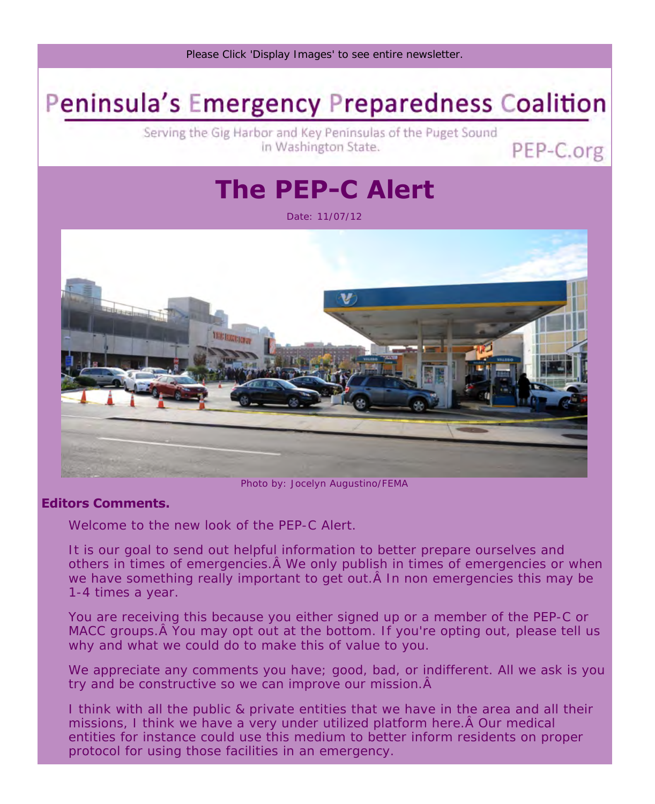

# **Peninsula's Emergency Preparedness Coalition**

Serving the Gig Harbor and Key Peninsulas of the Puget Sound in Washington State.

## **The PEP-C Alert**

PEP-C.org

Date: 11/07/12



Photo by: Jocelyn Augustino/FEMA

#### **Editors Comments.**

Welcome to the new look of the PEP-C Alert.

It is our goal to send out helpful information to better prepare ourselves and others in times of emergencies. A We only publish in times of emergencies or when we have something really important to get out. A In non emergencies this may be 1-4 times a year.

You are receiving this because you either signed up or a member of the PEP-C or MACC groups. A You may opt out at the bottom. If you're opting out, please tell us why and what we could do to make this of value to you.

We appreciate any comments you have; good, bad, or indifferent. All we ask is you try and be constructive so we can improve our mission.  $\hat{A}$ 

I think with all the public & private entities that we have in the area and all their missions, I think we have a very under utilized platform here. A Our medical entities for instance could use this medium to better inform residents on proper protocol for using those facilities in an emergency.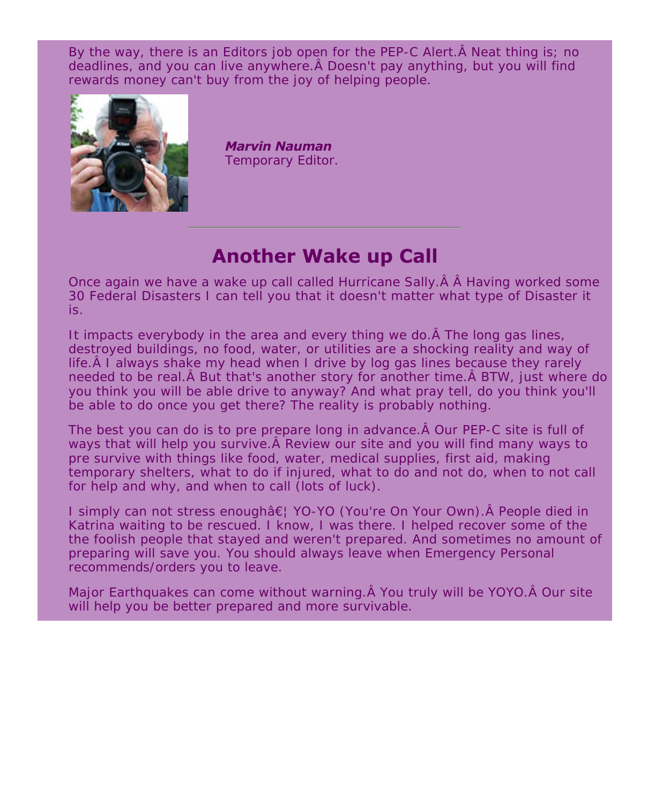By the way, there is an Editors job open for the PEP-C Alert.  $\hat{A}$  Neat thing is; no deadlines, and you can live anywhere. A Doesn't pay anything, but you will find rewards money can't buy from the joy of helping people.



*Marvin Nauman* Temporary Editor.

### **Another Wake up Call**

Once again we have a wake up call called Hurricane Sally.  $\hat{A}$  A Having worked some 30 Federal Disasters I can tell you that it doesn't matter what type of Disaster it is.

It impacts everybody in the area and every thing we do. A The long gas lines, destroyed buildings, no food, water, or utilities are a shocking reality and way of life. A I always shake my head when I drive by log gas lines because they rarely needed to be real. A But that's another story for another time. A BTW, just where do you think you will be able drive to anyway? And what pray tell, do you think you'll be able to do once you get there? The reality is probably nothing.

The best you can do is to pre prepare long in advance. A Our PEP-C site is full of ways that will help you survive. A Review our site and you will find many ways to pre survive with things like food, water, medical supplies, first aid, making temporary shelters, what to do if injured, what to do and not do, when to not call for help and why, and when to call (lots of luck).

I simply can not stress enough… YO-YO (You're On Your Own). Â People died in Katrina waiting to be rescued. I know, I was there. I helped recover some of the the foolish people that stayed and weren't prepared. And sometimes no amount of preparing will save you. You should always leave when Emergency Personal recommends/orders you to leave.

Major Earthquakes can come without warning. A You truly will be YOYO. A Our site will help you be better prepared and more survivable.